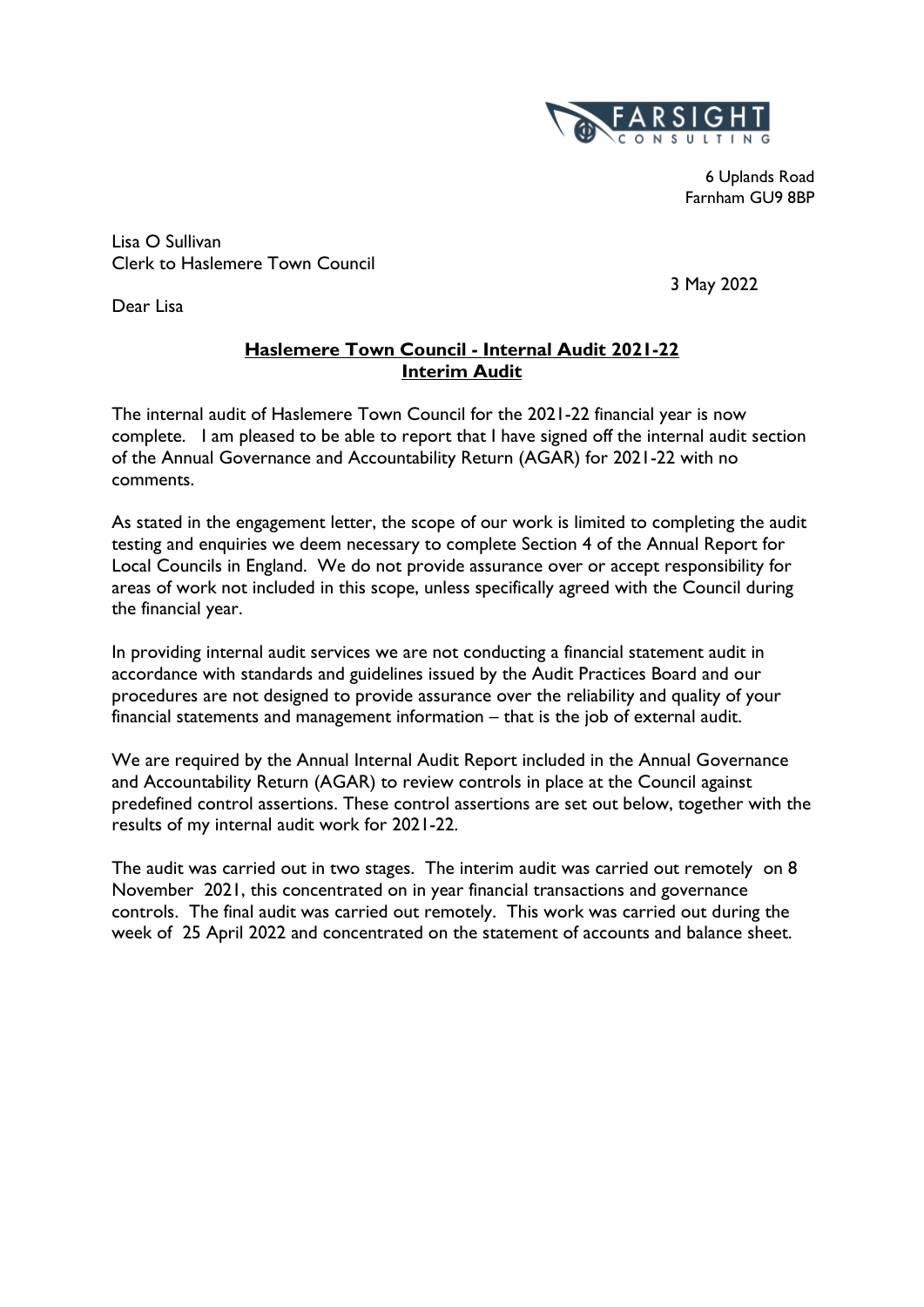

6 Uplands Road Farnham GU9 8BP

Lisa O Sullivan Clerk to Haslemere Town Council

Dear Lisa

3 May 2022

### **Haslemere Town Council - Internal Audit 2021-22 Interim Audit**

The internal audit of Haslemere Town Council for the 2021-22 financial year is now complete. I am pleased to be able to report that I have signed off the internal audit section of the Annual Governance and Accountability Return (AGAR) for 2021-22 with no comments.

As stated in the engagement letter, the scope of our work is limited to completing the audit testing and enquiries we deem necessary to complete Section 4 of the Annual Report for Local Councils in England. We do not provide assurance over or accept responsibility for areas of work not included in this scope, unless specifically agreed with the Council during the financial year.

In providing internal audit services we are not conducting a financial statement audit in accordance with standards and guidelines issued by the Audit Practices Board and our procedures are not designed to provide assurance over the reliability and quality of your financial statements and management information – that is the job of external audit.

We are required by the Annual Internal Audit Report included in the Annual Governance and Accountability Return (AGAR) to review controls in place at the Council against predefined control assertions. These control assertions are set out below, together with the results of my internal audit work for 2021-22.

The audit was carried out in two stages. The interim audit was carried out remotely on 8 November 2021, this concentrated on in year financial transactions and governance controls. The final audit was carried out remotely. This work was carried out during the week of 25 April 2022 and concentrated on the statement of accounts and balance sheet.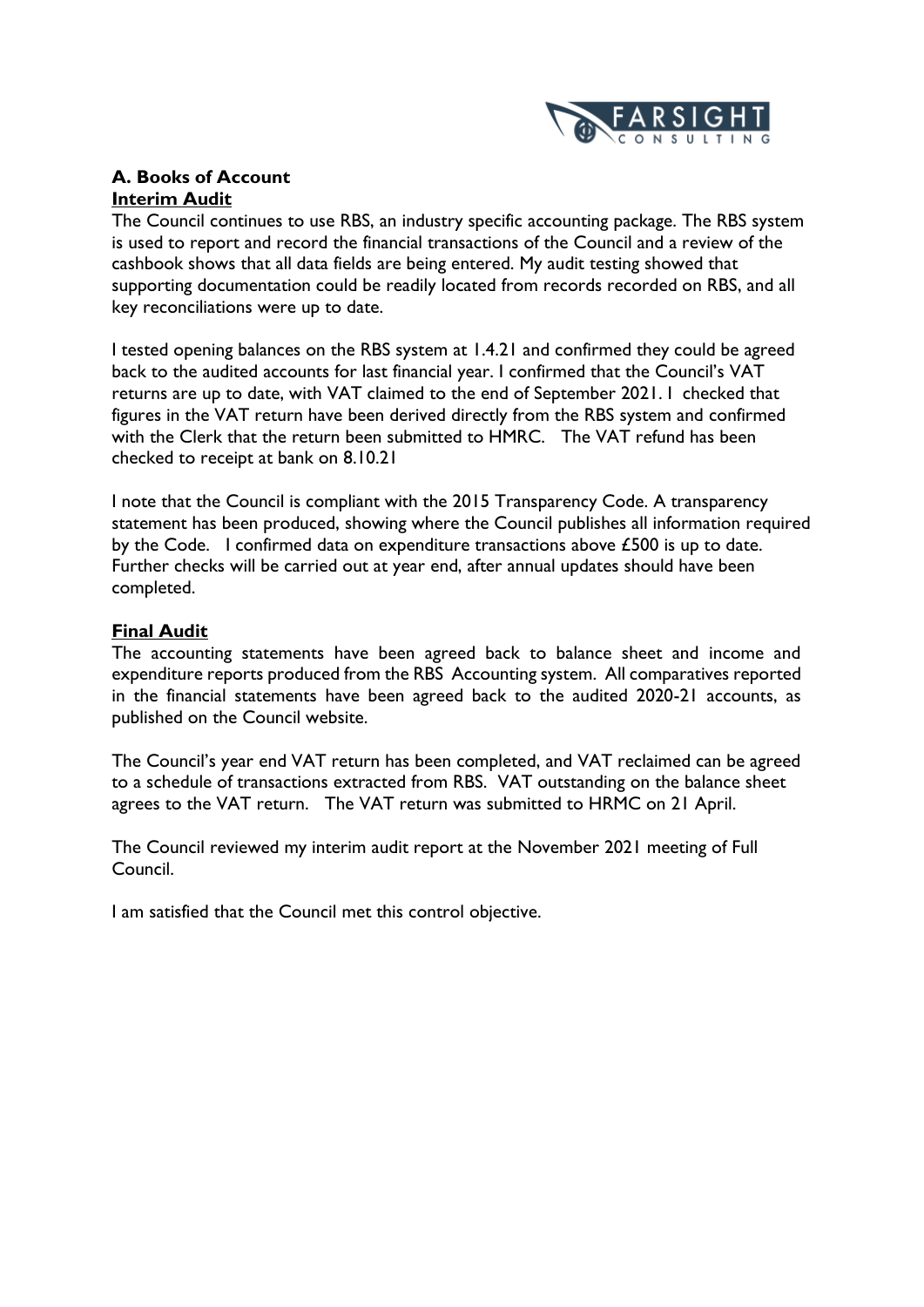

### **A. Books of Account Interim Audit**

The Council continues to use RBS, an industry specific accounting package. The RBS system is used to report and record the financial transactions of the Council and a review of the cashbook shows that all data fields are being entered. My audit testing showed that supporting documentation could be readily located from records recorded on RBS, and all key reconciliations were up to date.

I tested opening balances on the RBS system at 1.4.21 and confirmed they could be agreed back to the audited accounts for last financial year. I confirmed that the Council's VAT returns are up to date, with VAT claimed to the end of September 2021. I checked that figures in the VAT return have been derived directly from the RBS system and confirmed with the Clerk that the return been submitted to HMRC. The VAT refund has been checked to receipt at bank on 8.10.21

I note that the Council is compliant with the 2015 Transparency Code. A transparency statement has been produced, showing where the Council publishes all information required by the Code. I confirmed data on expenditure transactions above £500 is up to date. Further checks will be carried out at year end, after annual updates should have been completed.

### **Final Audit**

The accounting statements have been agreed back to balance sheet and income and expenditure reports produced from the RBS Accounting system. All comparatives reported in the financial statements have been agreed back to the audited 2020-21 accounts, as published on the Council website.

The Council's year end VAT return has been completed, and VAT reclaimed can be agreed to a schedule of transactions extracted from RBS. VAT outstanding on the balance sheet agrees to the VAT return. The VAT return was submitted to HRMC on 21 April.

The Council reviewed my interim audit report at the November 2021 meeting of Full Council.

I am satisfied that the Council met this control objective.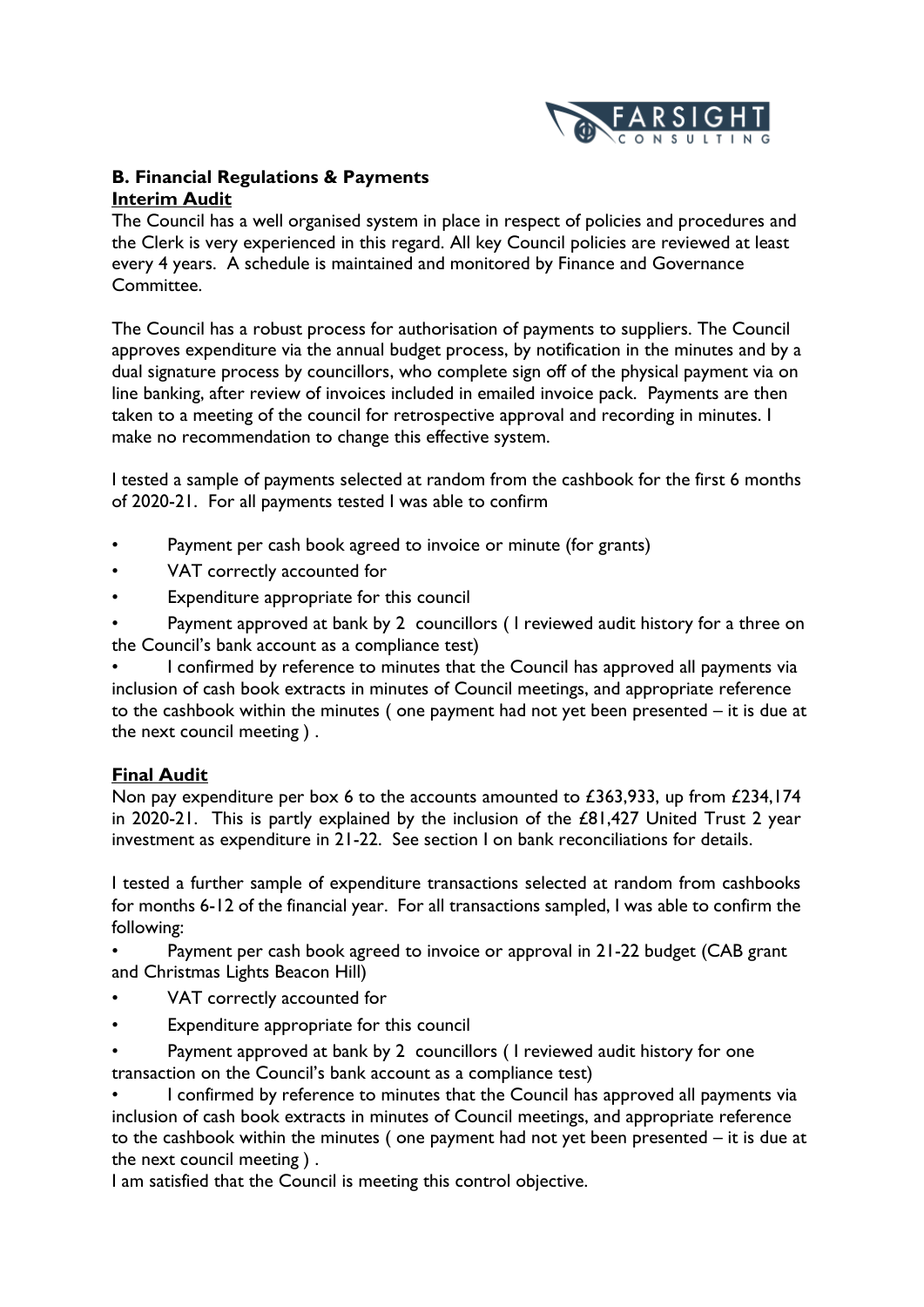

### **B. Financial Regulations & Payments Interim Audit**

The Council has a well organised system in place in respect of policies and procedures and the Clerk is very experienced in this regard. All key Council policies are reviewed at least every 4 years. A schedule is maintained and monitored by Finance and Governance Committee.

The Council has a robust process for authorisation of payments to suppliers. The Council approves expenditure via the annual budget process, by notification in the minutes and by a dual signature process by councillors, who complete sign off of the physical payment via on line banking, after review of invoices included in emailed invoice pack. Payments are then taken to a meeting of the council for retrospective approval and recording in minutes. I make no recommendation to change this effective system.

I tested a sample of payments selected at random from the cashbook for the first 6 months of 2020-21. For all payments tested I was able to confirm

- Payment per cash book agreed to invoice or minute (for grants)
- VAT correctly accounted for
- Expenditure appropriate for this council

Payment approved at bank by 2 councillors (I reviewed audit history for a three on the Council's bank account as a compliance test)

• I confirmed by reference to minutes that the Council has approved all payments via inclusion of cash book extracts in minutes of Council meetings, and appropriate reference to the cashbook within the minutes ( one payment had not yet been presented – it is due at the next council meeting ) .

### **Final Audit**

Non pay expenditure per box 6 to the accounts amounted to £363,933, up from £234,174 in 2020-21. This is partly explained by the inclusion of the £81,427 United Trust 2 year investment as expenditure in 21-22. See section I on bank reconciliations for details.

I tested a further sample of expenditure transactions selected at random from cashbooks for months 6-12 of the financial year. For all transactions sampled, I was able to confirm the following:

Payment per cash book agreed to invoice or approval in 21-22 budget (CAB grant and Christmas Lights Beacon Hill)

- VAT correctly accounted for
- Expenditure appropriate for this council
- Payment approved at bank by 2 councillors (I reviewed audit history for one transaction on the Council's bank account as a compliance test)

• I confirmed by reference to minutes that the Council has approved all payments via inclusion of cash book extracts in minutes of Council meetings, and appropriate reference to the cashbook within the minutes ( one payment had not yet been presented – it is due at the next council meeting ) .

I am satisfied that the Council is meeting this control objective.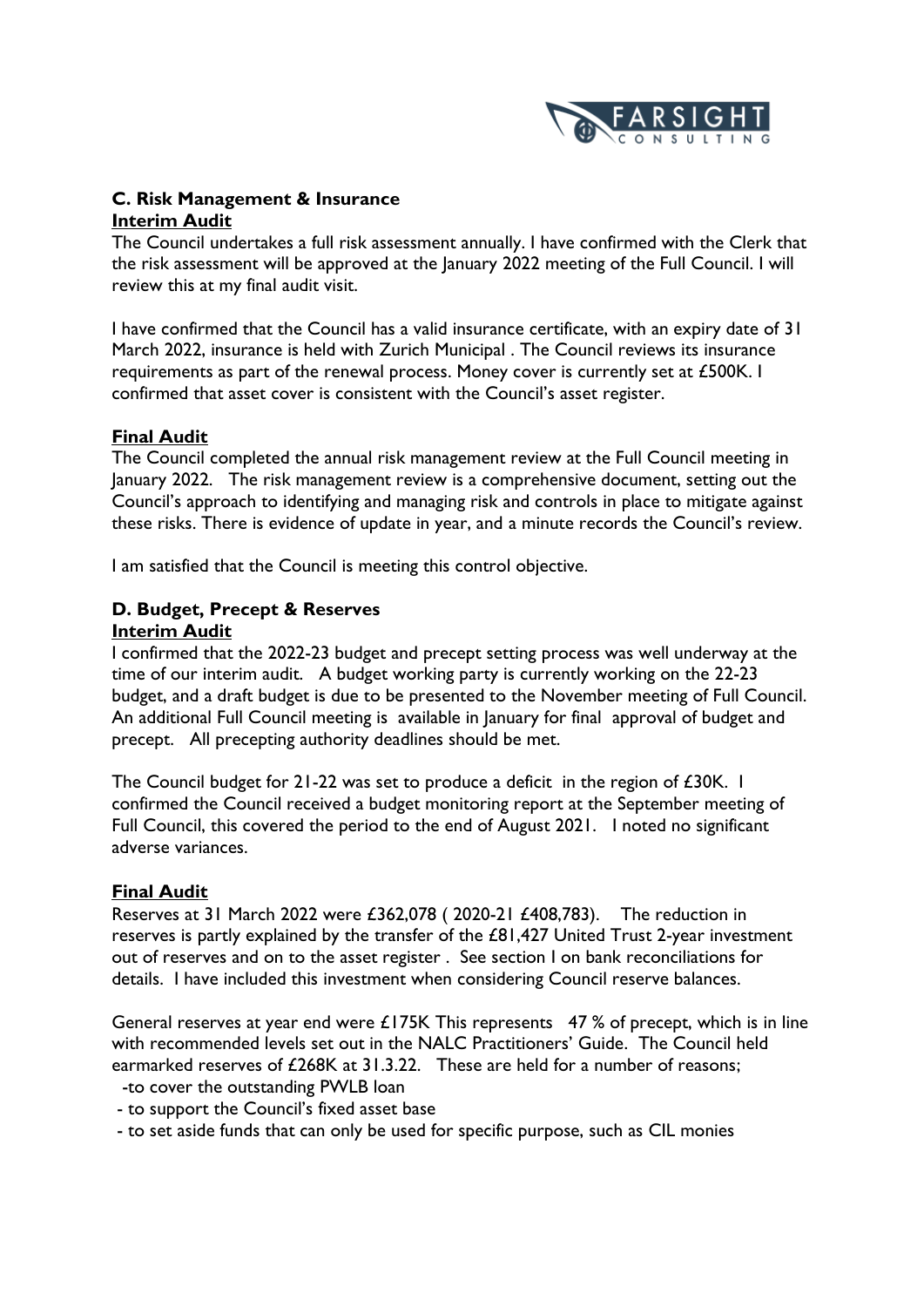

### **C. Risk Management & Insurance Interim Audit**

The Council undertakes a full risk assessment annually. I have confirmed with the Clerk that the risk assessment will be approved at the January 2022 meeting of the Full Council. I will review this at my final audit visit.

I have confirmed that the Council has a valid insurance certificate, with an expiry date of 31 March 2022, insurance is held with Zurich Municipal . The Council reviews its insurance requirements as part of the renewal process. Money cover is currently set at £500K. I confirmed that asset cover is consistent with the Council's asset register.

### **Final Audit**

The Council completed the annual risk management review at the Full Council meeting in January 2022. The risk management review is a comprehensive document, setting out the Council's approach to identifying and managing risk and controls in place to mitigate against these risks. There is evidence of update in year, and a minute records the Council's review.

I am satisfied that the Council is meeting this control objective.

## **D. Budget, Precept & Reserves**

### **Interim Audit**

I confirmed that the 2022-23 budget and precept setting process was well underway at the time of our interim audit. A budget working party is currently working on the 22-23 budget, and a draft budget is due to be presented to the November meeting of Full Council. An additional Full Council meeting is available in January for final approval of budget and precept. All precepting authority deadlines should be met.

The Council budget for 21-22 was set to produce a deficit in the region of £30K. I confirmed the Council received a budget monitoring report at the September meeting of Full Council, this covered the period to the end of August 2021. I noted no significant adverse variances.

### **Final Audit**

Reserves at 31 March 2022 were £362,078 ( 2020-21 £408,783). The reduction in reserves is partly explained by the transfer of the £81,427 United Trust 2-year investment out of reserves and on to the asset register . See section I on bank reconciliations for details. I have included this investment when considering Council reserve balances.

General reserves at year end were £175K This represents 47 % of precept, which is in line with recommended levels set out in the NALC Practitioners' Guide. The Council held earmarked reserves of £268K at 31.3.22. These are held for a number of reasons; -to cover the outstanding PWLB loan

- to support the Council's fixed asset base
- to set aside funds that can only be used for specific purpose, such as CIL monies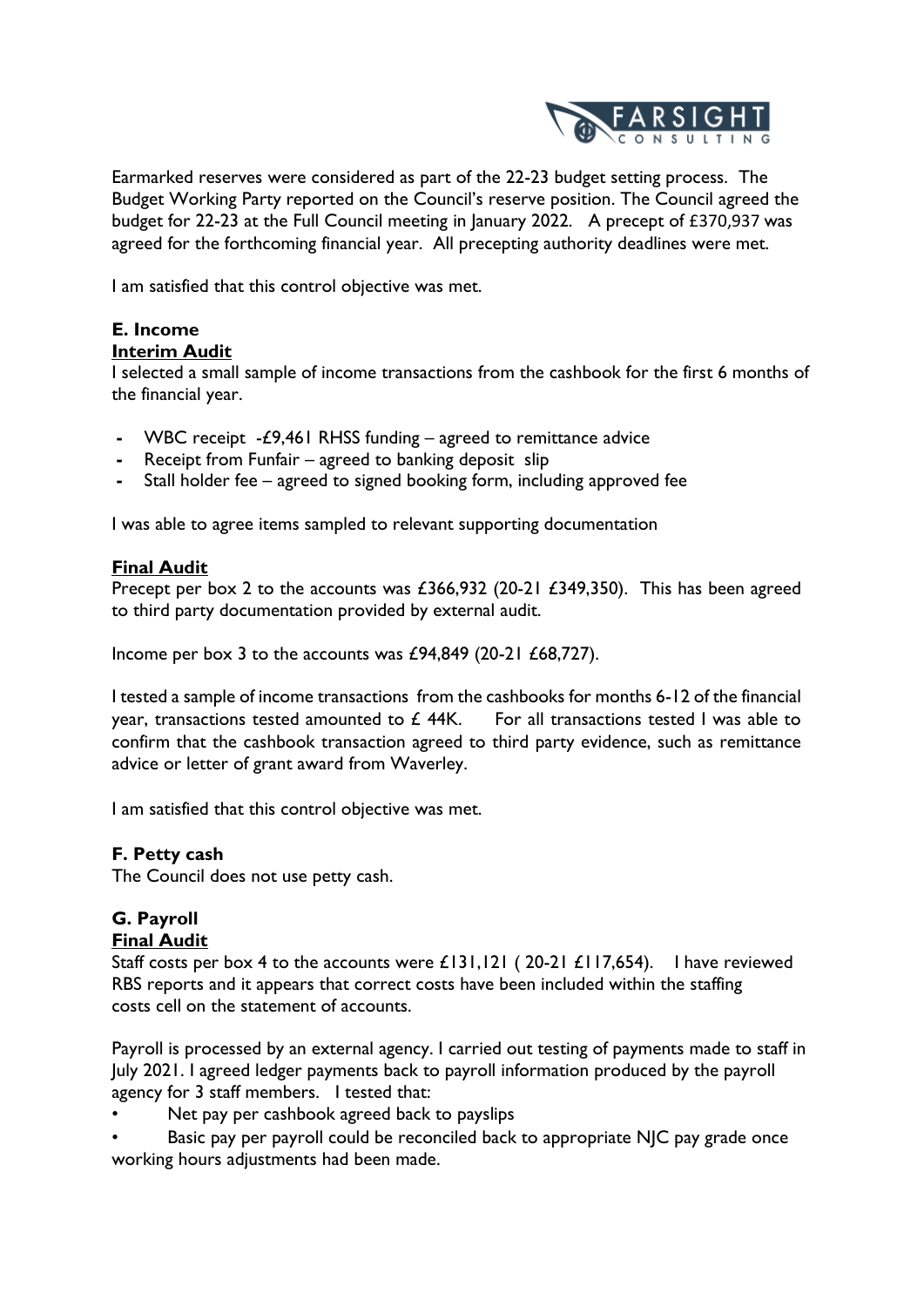

Earmarked reserves were considered as part of the 22-23 budget setting process. The Budget Working Party reported on the Council's reserve position. The Council agreed the budget for 22-23 at the Full Council meeting in January 2022. A precept of £370,937 was agreed for the forthcoming financial year. All precepting authority deadlines were met.

I am satisfied that this control objective was met.

# **E. Income**

# **Interim Audit**

I selected a small sample of income transactions from the cashbook for the first 6 months of the financial year.

- **-** WBC receipt -£9,461 RHSS funding agreed to remittance advice
- **-** Receipt from Funfair agreed to banking deposit slip
- **-** Stall holder fee agreed to signed booking form, including approved fee

I was able to agree items sampled to relevant supporting documentation

### **Final Audit**

Precept per box 2 to the accounts was £366,932 (20-21 £349,350). This has been agreed to third party documentation provided by external audit.

Income per box 3 to the accounts was £94,849 (20-21 £68,727).

I tested a sample of income transactions from the cashbooks for months 6-12 of the financial year, transactions tested amounted to  $E$  44K. For all transactions tested I was able to confirm that the cashbook transaction agreed to third party evidence, such as remittance advice or letter of grant award from Waverley.

I am satisfied that this control objective was met.

### **F. Petty cash**

The Council does not use petty cash.

# **G. Payroll**

### **Final Audit**

Staff costs per box 4 to the accounts were £131,121 ( 20-21 £117,654). I have reviewed RBS reports and it appears that correct costs have been included within the staffing costs cell on the statement of accounts.

Payroll is processed by an external agency. I carried out testing of payments made to staff in July 2021. I agreed ledger payments back to payroll information produced by the payroll agency for 3 staff members. I tested that:

- Net pay per cashbook agreed back to payslips
- Basic pay per payroll could be reconciled back to appropriate NJC pay grade once working hours adjustments had been made.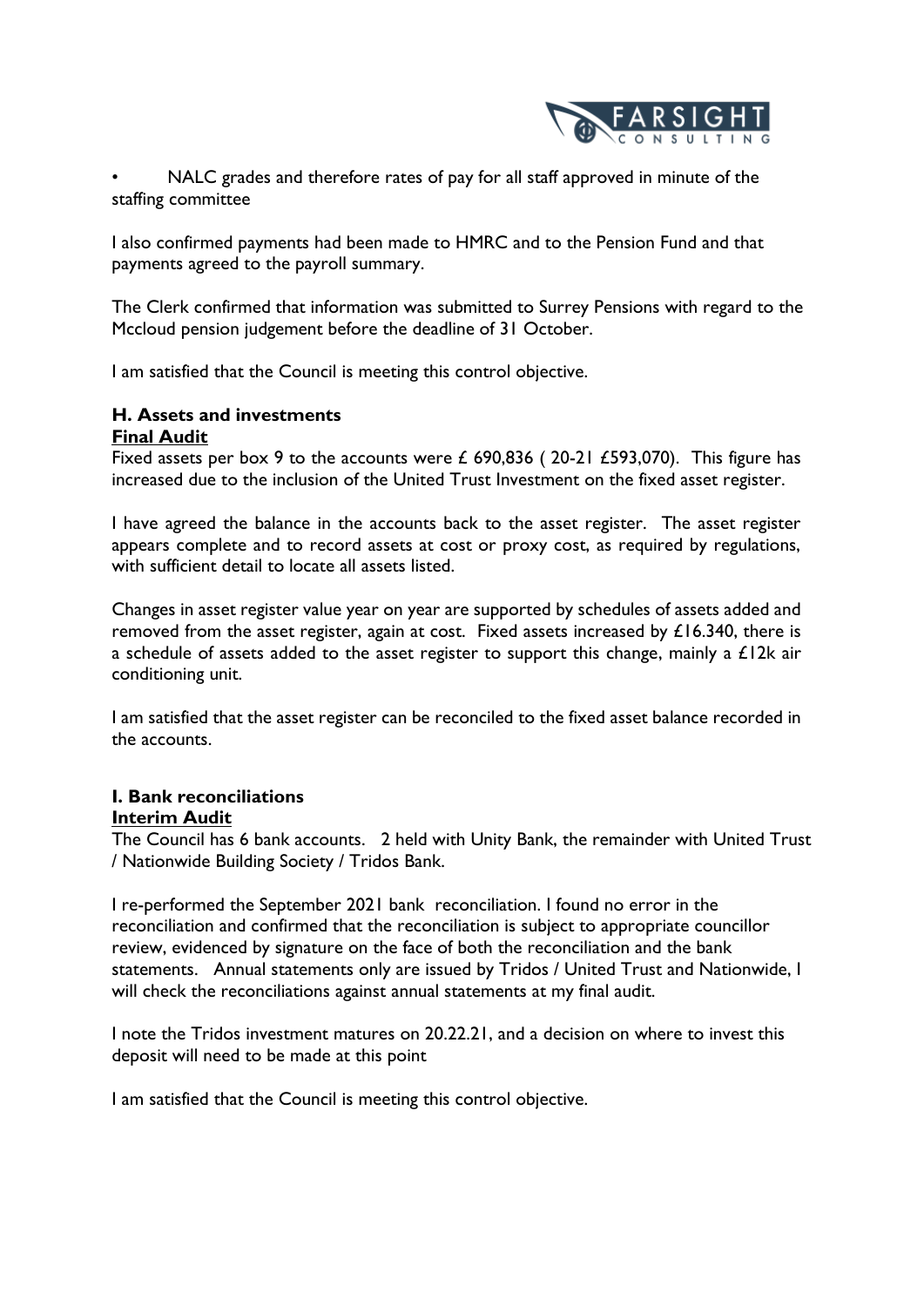

NALC grades and therefore rates of pay for all staff approved in minute of the staffing committee

I also confirmed payments had been made to HMRC and to the Pension Fund and that payments agreed to the payroll summary.

The Clerk confirmed that information was submitted to Surrey Pensions with regard to the Mccloud pension judgement before the deadline of 31 October.

I am satisfied that the Council is meeting this control objective.

#### **H. Assets and investments Final Audit**

Fixed assets per box 9 to the accounts were £ 690,836 (20-21 £593,070). This figure has increased due to the inclusion of the United Trust Investment on the fixed asset register.

I have agreed the balance in the accounts back to the asset register. The asset register appears complete and to record assets at cost or proxy cost, as required by regulations, with sufficient detail to locate all assets listed.

Changes in asset register value year on year are supported by schedules of assets added and removed from the asset register, again at cost. Fixed assets increased by  $£16.340$ , there is a schedule of assets added to the asset register to support this change, mainly a  $£12k$  air conditioning unit.

I am satisfied that the asset register can be reconciled to the fixed asset balance recorded in the accounts.

# **I. Bank reconciliations**

**Interim Audit** 

The Council has 6 bank accounts. 2 held with Unity Bank, the remainder with United Trust / Nationwide Building Society / Tridos Bank.

I re-performed the September 2021 bank reconciliation. I found no error in the reconciliation and confirmed that the reconciliation is subject to appropriate councillor review, evidenced by signature on the face of both the reconciliation and the bank statements. Annual statements only are issued by Tridos / United Trust and Nationwide, I will check the reconciliations against annual statements at my final audit.

I note the Tridos investment matures on 20.22.21, and a decision on where to invest this deposit will need to be made at this point

I am satisfied that the Council is meeting this control objective.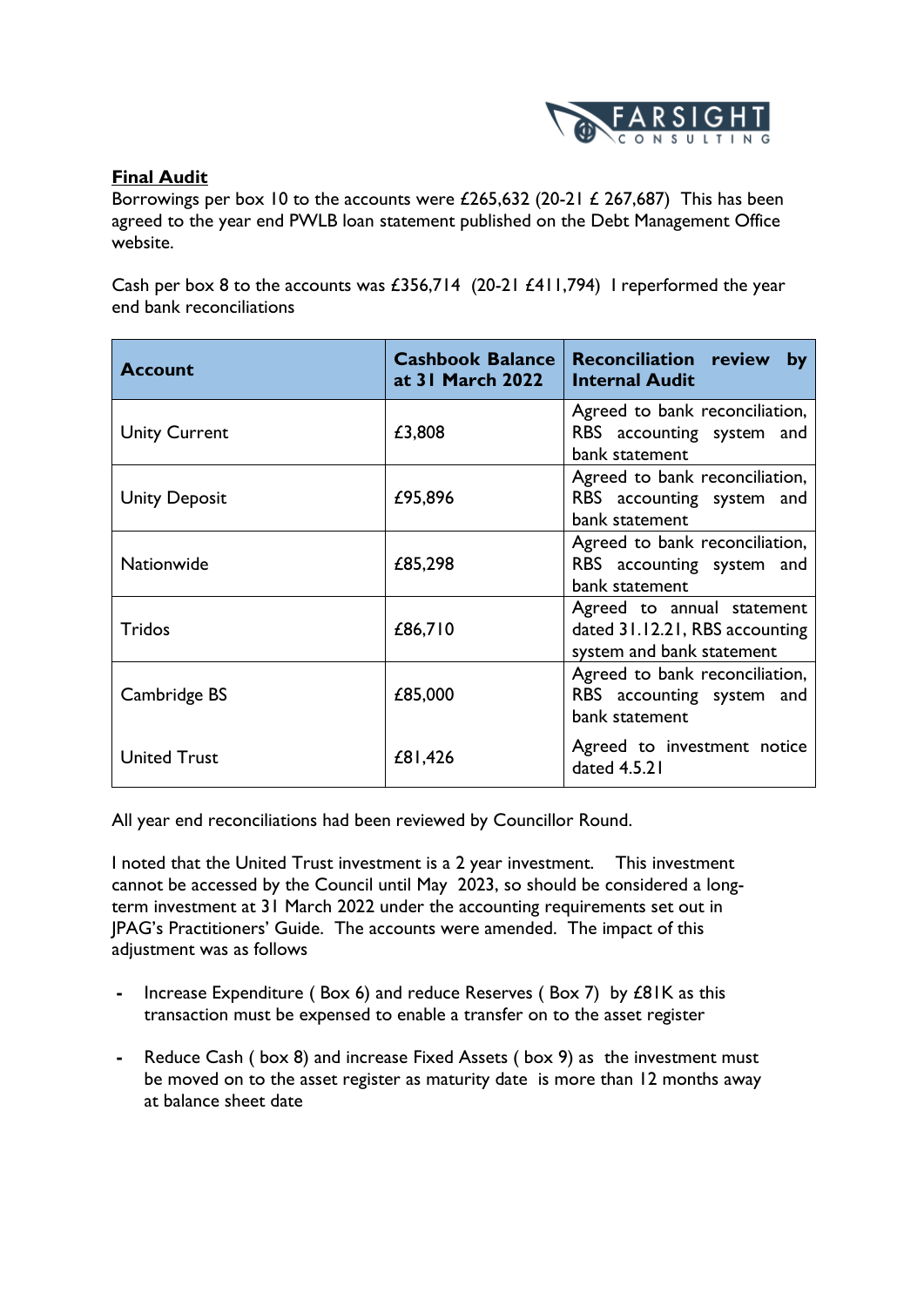

### **Final Audit**

Borrowings per box 10 to the accounts were £265,632 (20-21 £ 267,687) This has been agreed to the year end PWLB loan statement published on the Debt Management Office website.

Cash per box 8 to the accounts was £356,714 (20-21 £411,794) I reperformed the year end bank reconciliations

| <b>Account</b>       | <b>Cashbook Balance</b><br>at 31 March 2022 | <b>Reconciliation review</b><br>by<br><b>Internal Audit</b>                               |
|----------------------|---------------------------------------------|-------------------------------------------------------------------------------------------|
| <b>Unity Current</b> | £3,808                                      | Agreed to bank reconciliation,<br>RBS accounting system and<br>bank statement             |
| <b>Unity Deposit</b> | £95,896                                     | Agreed to bank reconciliation,<br>RBS accounting system and<br>bank statement             |
| <b>Nationwide</b>    | £85,298                                     | Agreed to bank reconciliation,<br>RBS accounting system and<br>bank statement             |
| Tridos               | £86,710                                     | Agreed to annual statement<br>dated 31.12.21, RBS accounting<br>system and bank statement |
| Cambridge BS         | £85,000                                     | Agreed to bank reconciliation,<br>RBS accounting system and<br>bank statement             |
| <b>United Trust</b>  | £81,426                                     | Agreed to investment notice<br>dated 4.5.21                                               |

All year end reconciliations had been reviewed by Councillor Round.

I noted that the United Trust investment is a 2 year investment. This investment cannot be accessed by the Council until May 2023, so should be considered a longterm investment at 31 March 2022 under the accounting requirements set out in JPAG's Practitioners' Guide. The accounts were amended. The impact of this adjustment was as follows

- **-** Increase Expenditure ( Box 6) and reduce Reserves ( Box 7) by £81K as this transaction must be expensed to enable a transfer on to the asset register
- **-** Reduce Cash ( box 8) and increase Fixed Assets ( box 9) as the investment must be moved on to the asset register as maturity date is more than 12 months away at balance sheet date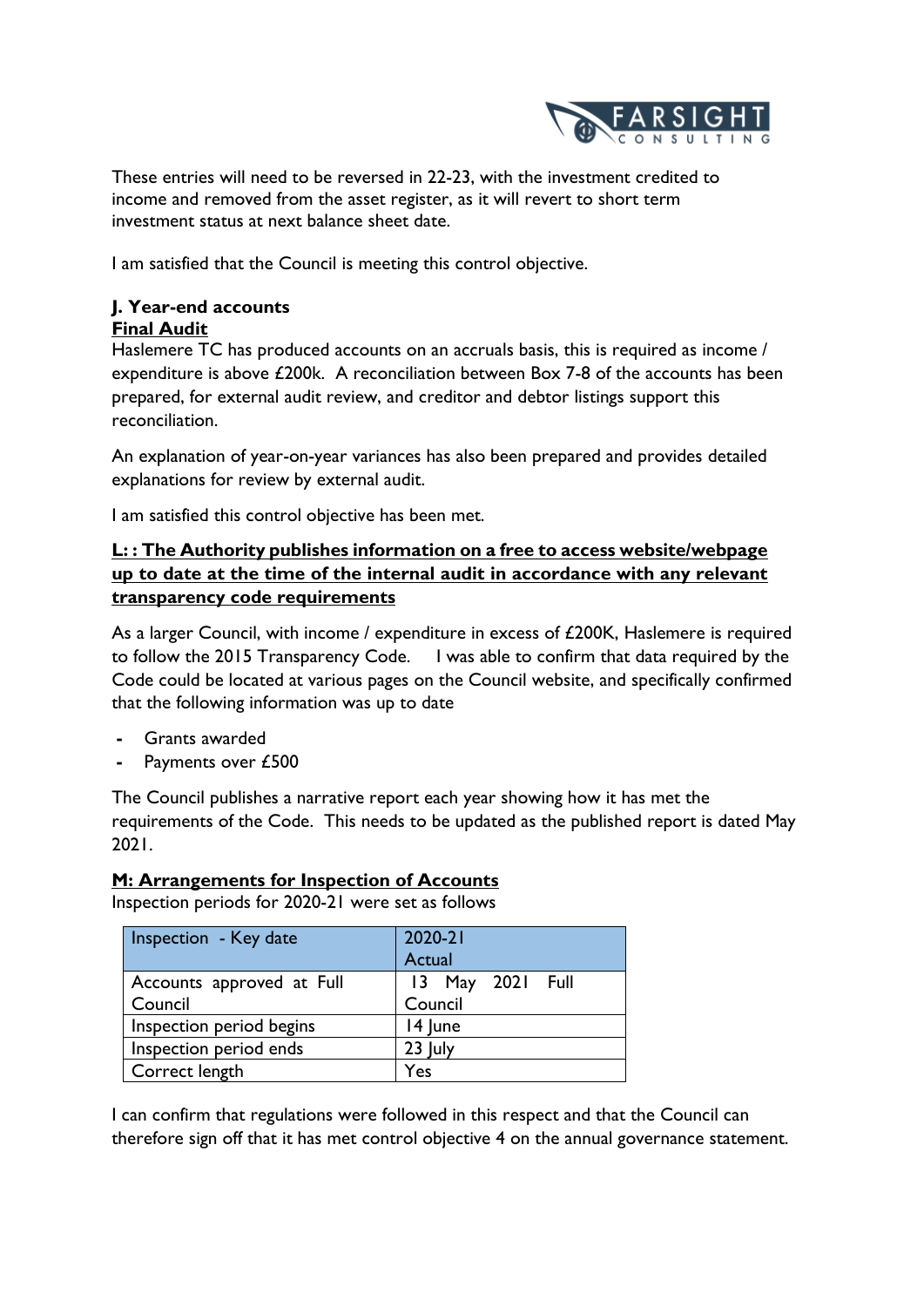

These entries will need to be reversed in 22-23, with the investment credited to income and removed from the asset register, as it will revert to short term investment status at next balance sheet date.

I am satisfied that the Council is meeting this control objective.

# **J. Year-end accounts**

### **Final Audit**

Haslemere TC has produced accounts on an accruals basis, this is required as income / expenditure is above £200k. A reconciliation between Box 7-8 of the accounts has been prepared, for external audit review, and creditor and debtor listings support this reconciliation.

An explanation of year-on-year variances has also been prepared and provides detailed explanations for review by external audit.

I am satisfied this control objective has been met.

## **L: : The Authority publishes information on a free to access website/webpage up to date at the time of the internal audit in accordance with any relevant transparency code requirements**

As a larger Council, with income / expenditure in excess of £200K, Haslemere is required to follow the 2015 Transparency Code. I was able to confirm that data required by the Code could be located at various pages on the Council website, and specifically confirmed that the following information was up to date

- **-** Grants awarded
- **-** Payments over £500

The Council publishes a narrative report each year showing how it has met the requirements of the Code. This needs to be updated as the published report is dated May 2021.

### **M: Arrangements for Inspection of Accounts**

Inspection periods for 2020-21 were set as follows

| Inspection - Key date                | $2020 - 21$<br>Actual       |
|--------------------------------------|-----------------------------|
| Accounts approved at Full<br>Council | 13 May 2021 Full<br>Council |
| Inspection period begins             | 14 June                     |
| Inspection period ends               | 23 July                     |
| Correct length                       | Yes                         |

I can confirm that regulations were followed in this respect and that the Council can therefore sign off that it has met control objective 4 on the annual governance statement.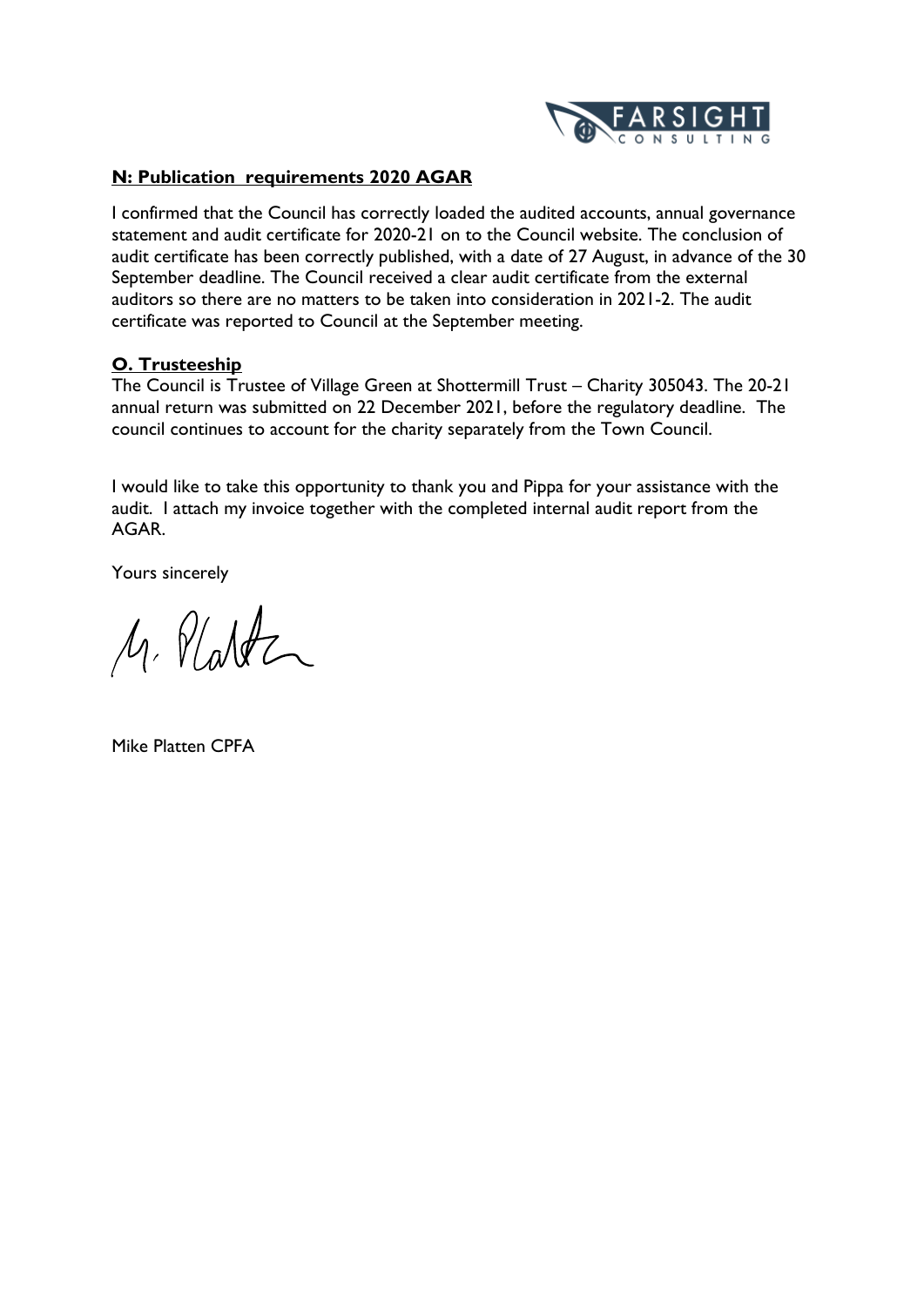

### **N: Publication requirements 2020 AGAR**

I confirmed that the Council has correctly loaded the audited accounts, annual governance statement and audit certificate for 2020-21 on to the Council website. The conclusion of audit certificate has been correctly published, with a date of 27 August, in advance of the 30 September deadline. The Council received a clear audit certificate from the external auditors so there are no matters to be taken into consideration in 2021-2. The audit certificate was reported to Council at the September meeting.

### **O. Trusteeship**

The Council is Trustee of Village Green at Shottermill Trust – Charity 305043. The 20-21 annual return was submitted on 22 December 2021, before the regulatory deadline. The council continues to account for the charity separately from the Town Council.

I would like to take this opportunity to thank you and Pippa for your assistance with the audit. I attach my invoice together with the completed internal audit report from the AGAR.

Yours sincerely

M. Platter

Mike Platten CPFA